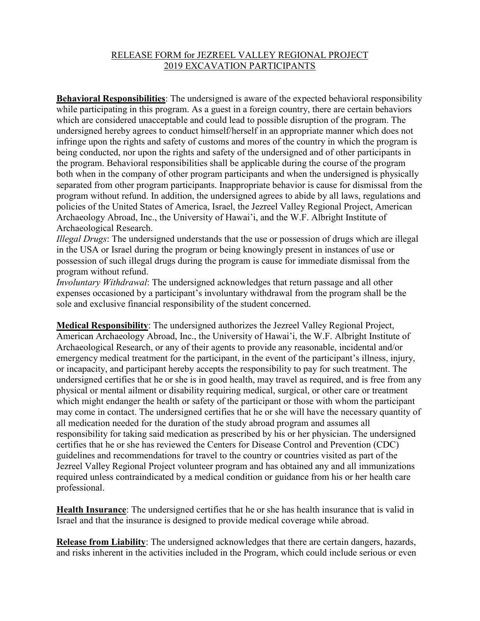## RELEASE FORM for JEZREEL VALLEY REGIONAL PROJECT 2019 EXCAVATION PARTICIPANTS

**Behavioral Responsibilities**: The undersigned is aware of the expected behavioral responsibility while participating in this program. As a guest in a foreign country, there are certain behaviors which are considered unacceptable and could lead to possible disruption of the program. The undersigned hereby agrees to conduct himself/herself in an appropriate manner which does not infringe upon the rights and safety of customs and mores of the country in which the program is being conducted, nor upon the rights and safety of the undersigned and of other participants in the program. Behavioral responsibilities shall be applicable during the course of the program both when in the company of other program participants and when the undersigned is physically separated from other program participants. Inappropriate behavior is cause for dismissal from the program without refund. In addition, the undersigned agrees to abide by all laws, regulations and policies of the United States of America, Israel, the Jezreel Valley Regional Project, American Archaeology Abroad, Inc., the University of Hawai'i, and the W.F. Albright Institute of Archaeological Research.

*Illegal Drugs*: The undersigned understands that the use or possession of drugs which are illegal in the USA or Israel during the program or being knowingly present in instances of use or possession of such illegal drugs during the program is cause for immediate dismissal from the program without refund.

*Involuntary Withdrawal*: The undersigned acknowledges that return passage and all other expenses occasioned by a participant's involuntary withdrawal from the program shall be the sole and exclusive financial responsibility of the student concerned.

**Medical Responsibility**: The undersigned authorizes the Jezreel Valley Regional Project, American Archaeology Abroad, Inc., the University of Hawai'i, the W.F. Albright Institute of Archaeological Research, or any of their agents to provide any reasonable, incidental and/or emergency medical treatment for the participant, in the event of the participant's illness, injury, or incapacity, and participant hereby accepts the responsibility to pay for such treatment. The undersigned certifies that he or she is in good health, may travel as required, and is free from any physical or mental ailment or disability requiring medical, surgical, or other care or treatment which might endanger the health or safety of the participant or those with whom the participant may come in contact. The undersigned certifies that he or she will have the necessary quantity of all medication needed for the duration of the study abroad program and assumes all responsibility for taking said medication as prescribed by his or her physician. The undersigned certifies that he or she has reviewed the Centers for Disease Control and Prevention (CDC) guidelines and recommendations for travel to the country or countries visited as part of the Jezreel Valley Regional Project volunteer program and has obtained any and all immunizations required unless contraindicated by a medical condition or guidance from his or her health care professional.

**Health Insurance**: The undersigned certifies that he or she has health insurance that is valid in Israel and that the insurance is designed to provide medical coverage while abroad.

**Release from Liability**: The undersigned acknowledges that there are certain dangers, hazards, and risks inherent in the activities included in the Program, which could include serious or even